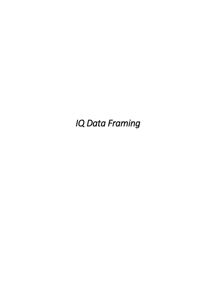*IQ Data Framing*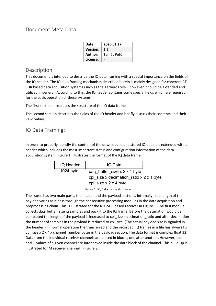Document Meta Data:

| Date:           | 2020 01 27 |
|-----------------|------------|
| <b>Version:</b> | 1.1        |
| Author:         | Tamás Pető |
| License:        |            |

# Description:

This document is intended to describe the IQ data framing with a special importance on the fields of the IQ header. The IQ data framing mechanism described herein is mainly designed for coherent RTL-SDR based data acquisition systems (such as the Kerberos SDR), however it could be extended and utilized in general. According to this, the IQ header contains some special fields which are required for the basic operation of these systems

The first section introduces the structure of the IQ data frame.

The second section describes the fields of the IQ header and briefly discuss their contents and their valid values.

# IQ Data Framing:

In order to properly identify the content of the downloaded and stored IQ data it is extended with a header which includes the most important status and configuration information of the data acquisition system. Figure 1. illustrates the format of the IQ data frame.

| IQ Header   | IQ Data                                                                                                       |  |
|-------------|---------------------------------------------------------------------------------------------------------------|--|
| $1024$ byte | dag buffer size $x$ 2 $x$ 1 byte<br>cpi size x decimation ratio $x$ 2 $x$ 1 byte<br>cpi size $x$ 2 $x$ 4 byte |  |

Figure 1: IQ Data frame structure

The frame has two main parts, the header and the payload sections. Internally, the length of the payload varies as it pass through the consecutive processing modules in the data acquisition and preprocessing chain. This is illustrated for the RTL-SDR based receiver in Figure 1. The first module collects daq\_buffer\_size iq samples and pack it to the IQ frame. Before the decimation would be completed the length of the payload is increased to cpi\_size x decimation ratio and after decimation the number of samples in the payload is reduced to cpi\_size. (The actual payload size is signaled in the header.) In normal operation the transferred and the recorded IQ frames in a file has always fix cpi size x  $2 \times 4 \times$  channel number bytes in the payload section. The data format is complex float 32. Data from the individual receiver channels are placed in blocks, one after another. However, the I and Q values of a given channel are interleaved inside the data block of the channel. This build-up is illustrated for M receiver channel in Figure 2.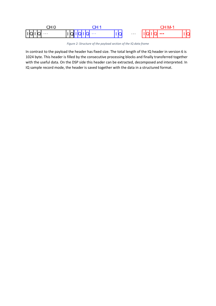

*Figure 2: Structure of the payload section of the IQ data frame*

In contrast to the payload the header has fixed size. The total length of the IQ header in version 6 is 1024 byte. This header is filled by the consecutive processing blocks and finally transferred together with the useful data. On the DSP side this header can be extracted, decomposed and interpreted. In IQ sample record mode, the header is saved together with the data in a structured format.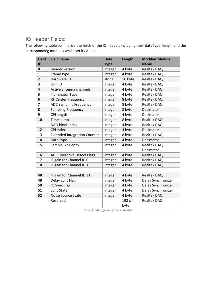# IQ Header Fields:

The following table summarize the fields of the IQ header, including their data type, length and the corresponding modules which set its values.

| <b>Field</b><br>ID      | <b>Field name</b>                   | <b>Data</b><br><b>Type</b> | Length         | <b>Modifier Module</b><br><b>Name</b> |
|-------------------------|-------------------------------------|----------------------------|----------------|---------------------------------------|
| $\mathbf 0$             | <b>Header version</b>               | integer                    | 4 byte         | Realtek DAQ                           |
| $\mathbf{1}$            | Frame type                          | integer                    | 4 byte         | Realtek DAQ                           |
| $\overline{2}$          | Hardware ID                         | string                     | 16 byte        | Realtek DAQ                           |
| 3                       | Unit ID                             | integer                    | 4 byte         | Realtek DAQ                           |
| $\overline{\mathbf{4}}$ | Active antenna channels             | integer                    | 4 byte         | Realtek DAQ                           |
| 5                       | <b>Illuminator Type</b>             | integer                    | 4 byte         | Realtek DAQ                           |
| 6                       | <b>RF Center Frequency</b>          | integer                    | 8 byte         | Realtek DAQ                           |
| 7                       | <b>ADC Sampling Frequency</b>       | integer                    | 8 byte         | Realtek DAQ                           |
| 8                       | <b>Sampling Frequency</b>           | integer                    | 8 byte         | Decimator                             |
| 9                       | CPI length                          | integer                    | 4 byte         | Decimator                             |
| 10                      | Timestamp                           | integer                    | 8 byte         | Realtek DAQ                           |
| 11                      | DAQ block index                     | integer                    | 4 byte         | Realtek DAQ                           |
| 12                      | CPI index                           | integer                    | 4 byte         | Decimator                             |
| 13                      | <b>Extended Integration Counter</b> | integer                    | 8 byte         | Realtek DAQ                           |
| 14                      | Data Type                           | integer                    | 4 byte         | Decimator                             |
| 15                      | Sample Bit Depth                    | integer                    | 4 byte         | Realtek DAQ,                          |
|                         |                                     |                            |                | Decimator                             |
| 16                      | <b>ADC Overdrive Detect Flags</b>   | integer                    | 4 byte         | Realtek DAQ                           |
| 17                      | IF gain for Channel ID 0            | integer                    | 4 byte         | Realtek DAQ                           |
| 18                      | IF gain for Channel ID 1            | Integer                    | 4 byte         | Realtek DAQ                           |
|                         |                                     |                            |                |                                       |
| 48                      | IF gain for Channel ID 31           | integer                    | 4 byte         | Realtek DAQ                           |
| 49                      | Delay Sync Flag                     | integer                    | 4 byte         | Delay Synchronizer                    |
| 50                      | IQ Sync Flag                        | integer                    | 4 byte         | Delay Synchronizer                    |
| 51                      | Sync State                          | integer                    | 4 byte         | Delay Synchronizer                    |
| 52                      | <b>Noise Source State</b>           | integer                    | 4 byte         | Realtek DAQ                           |
|                         | Reserved                            |                            | $193 \times 4$ | Realtek DAQ                           |
|                         |                                     |                            | byte           |                                       |

*Table 1: List of fields of the IQ header*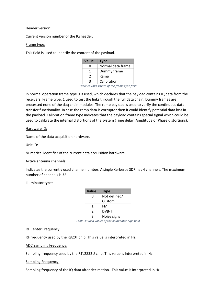Header version:

Current version number of the IQ header.

# Frame type:

This field is used to identify the content of the payload.

| <b>Value</b> | <b>Type</b>       |
|--------------|-------------------|
| O            | Normal data frame |
|              | Dummy frame       |
| 2            | Ramp              |
| ર            | Calibration       |

*Table 2: Valid values of the frame type field*

In normal operation frame type 0 is used, which declares that the payload contains IQ data from the receivers. Frame type: 1 used to test the links through the full data chain. Dummy frames are processed none of the daq chain modules. The ramp payload is used to verify the continuous data transfer functionality. In case the ramp data is corrupter then it could identify potential data loss in the payload. Calibration frame type indicates that the payload contains special signal which could be used to calibrate the internal distortions of the system (Time delay, Amplitude or Phase distortions).

# Hardware ID:

Name of the data acquisition hardware.

# Unit ID:

Numerical identifier of the current data acquisition hardware

# Active antenna channels:

Indicates the currently used channel number. A single Kerberos SDR has 4 channels. The maximum number of channels is 32.

Illuminator type:

| <b>Value</b> | <b>Type</b>  |
|--------------|--------------|
| n            | Not defined/ |
|              | Custom       |
| 1            | FM           |
| 2            | DVB-T        |
| っ            | Noise signal |

*Table 3: Valid values of the illuminator type field*

# RF Center Frequency:

RF frequency used by the R820T chip. This value is interpreted in Hz.

ADC Sampling Frequency:

Sampling frequency used by the RTL2832U chip. This value is interpreted in Hz.

#### Sampling Frequency:

Sampling frequency of the IQ data after decimation. This value is interpreted in Hz.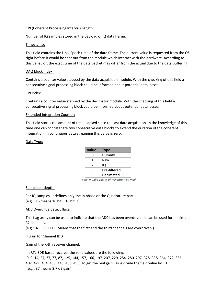# CPI (Coherent Processing Interval) Length:

Number of IQ samples stored in the payload of IQ data frame.

# Timestamp:

This field contains the Unix Epoch time of the data frame. The current value is requested from the OS right before it would be sent out from the module which interact with the hardware. According to this behavior, the exact time of the data packet may differ from the actual due to the data buffering.

# DAQ block index:

Contains a counter value stepped by the data acquisition module. With the checking of this field a consecutive signal processing block could be informed about potential data losses.

# CPI index:

Contains a counter value stepped by the decimator module. With the checking of this field a consecutive signal processing block could be informed about potential data losses.

# Extended Integration Counter:

This field stores the amount of time elapsed since the last data acquisition. In the knowledge of this time one can concatenate two consecutive data blocks to extend the duration of the coherent integration. In continuous data streaming this value is zero.

# Data Type:

| <b>Value</b> | <b>Type</b>   |
|--------------|---------------|
| O            | Dummy         |
| 1            | Raw           |
| 2            | IQ            |
| ર            | Pre-filtered, |
|              | Decimated IQ  |

*Table 4: Valid values of the data type field*

# Sample bit depth:

For IQ samples, it defines only the In phase or the Quadrature part. (e.g. : 16 means 16 bit I, 16 bit Q)

# ADC Overdrive detect flags:

This flag array can be used to indicate that the ADC has been overdriven. It can be used for maximum 32 channels.

(e.g.: 0x00000003 : Means that the first and the third channels are overdriven.)

# IF gain for Channel ID X:

Gain of the X-th receiver channel.

In RTL-SDR based receiver the valid values are the following: 0, 9, 14, 27, 37, 77, 87, 125, 144, 157, 166, 197, 207, 229, 254, 280, 297, 328, 338, 364, 372, 386, 402, 421, 434, 439, 445, 480, 496. To get the real gain value divide the field value by 10. (e.g.: 87 means 8.7 dB gain)